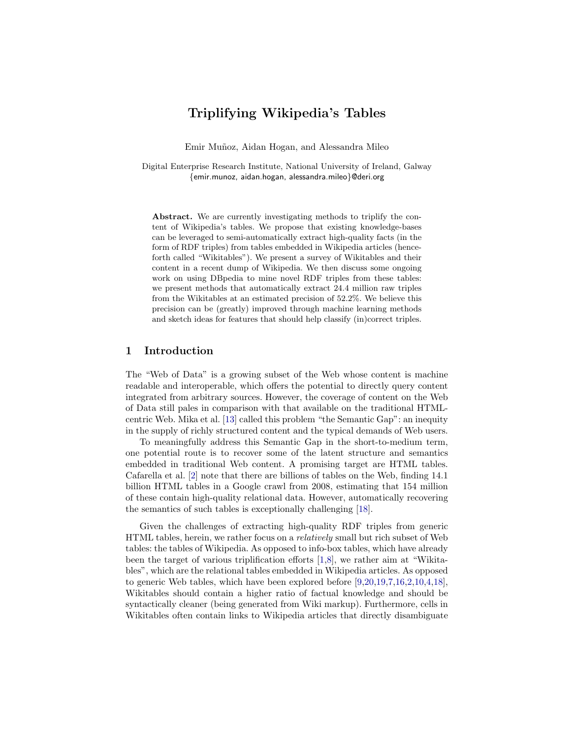# Triplifying Wikipedia's Tables

Emir Muñoz, Aidan Hogan, and Alessandra Mileo

Digital Enterprise Research Institute, National University of Ireland, Galway {emir.munoz, aidan.hogan, alessandra.mileo}@deri.org

Abstract. We are currently investigating methods to triplify the content of Wikipedia's tables. We propose that existing knowledge-bases can be leveraged to semi-automatically extract high-quality facts (in the form of RDF triples) from tables embedded in Wikipedia articles (henceforth called "Wikitables"). We present a survey of Wikitables and their content in a recent dump of Wikipedia. We then discuss some ongoing work on using DBpedia to mine novel RDF triples from these tables: we present methods that automatically extract 24.4 million raw triples from the Wikitables at an estimated precision of 52.2%. We believe this precision can be (greatly) improved through machine learning methods and sketch ideas for features that should help classify (in)correct triples.

## 1 Introduction

The "Web of Data" is a growing subset of the Web whose content is machine readable and interoperable, which offers the potential to directly query content integrated from arbitrary sources. However, the coverage of content on the Web of Data still pales in comparison with that available on the traditional HTMLcentric Web. Mika et al. [\[13\]](#page-11-0) called this problem "the Semantic Gap": an inequity in the supply of richly structured content and the typical demands of Web users.

To meaningfully address this Semantic Gap in the short-to-medium term, one potential route is to recover some of the latent structure and semantics embedded in traditional Web content. A promising target are HTML tables. Cafarella et al. [\[2\]](#page-11-1) note that there are billions of tables on the Web, finding 14.1 billion HTML tables in a Google crawl from 2008, estimating that 154 million of these contain high-quality relational data. However, automatically recovering the semantics of such tables is exceptionally challenging [\[18\]](#page-11-2).

Given the challenges of extracting high-quality RDF triples from generic HTML tables, herein, we rather focus on a relatively small but rich subset of Web tables: the tables of Wikipedia. As opposed to info-box tables, which have already been the target of various triplification efforts [\[1,](#page-11-3)[8\]](#page-11-4), we rather aim at "Wikitables", which are the relational tables embedded in Wikipedia articles. As opposed to generic Web tables, which have been explored before [\[9,](#page-11-5)[20,](#page-11-6)[19,](#page-11-7)[7,](#page-11-8)[16,](#page-11-9)[2,](#page-11-1)[10,](#page-11-10)[4,](#page-11-11)[18\]](#page-11-2), Wikitables should contain a higher ratio of factual knowledge and should be syntactically cleaner (being generated from Wiki markup). Furthermore, cells in Wikitables often contain links to Wikipedia articles that directly disambiguate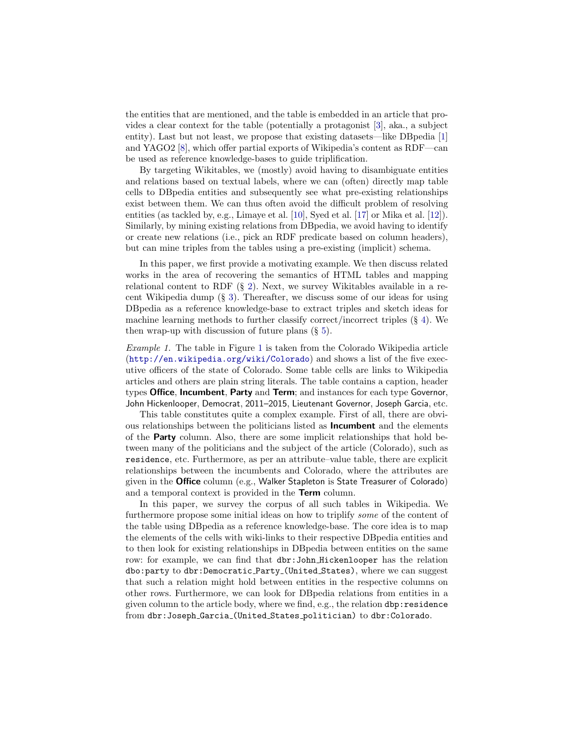the entities that are mentioned, and the table is embedded in an article that provides a clear context for the table (potentially a protagonist [\[3\]](#page-11-12), aka., a subject entity). Last but not least, we propose that existing datasets—like DBpedia [\[1\]](#page-11-3) and YAGO2 [\[8\]](#page-11-4), which offer partial exports of Wikipedia's content as RDF—can be used as reference knowledge-bases to guide triplification.

By targeting Wikitables, we (mostly) avoid having to disambiguate entities and relations based on textual labels, where we can (often) directly map table cells to DBpedia entities and subsequently see what pre-existing relationships exist between them. We can thus often avoid the difficult problem of resolving entities (as tackled by, e.g., Limaye et al. [\[10\]](#page-11-10), Syed et al. [\[17\]](#page-11-13) or Mika et al. [\[12\]](#page-11-14)). Similarly, by mining existing relations from DBpedia, we avoid having to identify or create new relations (i.e., pick an RDF predicate based on column headers), but can mine triples from the tables using a pre-existing (implicit) schema.

In this paper, we first provide a motivating example. We then discuss related works in the area of recovering the semantics of HTML tables and mapping relational content to RDF (§ [2\)](#page-2-0). Next, we survey Wikitables available in a recent Wikipedia dump (§ [3\)](#page-3-0). Thereafter, we discuss some of our ideas for using DBpedia as a reference knowledge-base to extract triples and sketch ideas for machine learning methods to further classify correct/incorrect triples  $(\S 4)$  $(\S 4)$ . We then wrap-up with discussion of future plans  $(\S 5)$  $(\S 5)$ .

<span id="page-1-0"></span>Example 1. The table in Figure [1](#page-2-1) is taken from the Colorado Wikipedia article (<http://en.wikipedia.org/wiki/Colorado>) and shows a list of the five executive officers of the state of Colorado. Some table cells are links to Wikipedia articles and others are plain string literals. The table contains a caption, header types Office, Incumbent, Party and Term; and instances for each type Governor, John Hickenlooper, Democrat, 2011–2015, Lieutenant Governor, Joseph Garcia, etc.

This table constitutes quite a complex example. First of all, there are obvious relationships between the politicians listed as Incumbent and the elements of the Party column. Also, there are some implicit relationships that hold between many of the politicians and the subject of the article (Colorado), such as residence, etc. Furthermore, as per an attribute–value table, there are explicit relationships between the incumbents and Colorado, where the attributes are given in the Office column (e.g., Walker Stapleton is State Treasurer of Colorado) and a temporal context is provided in the **Term** column.

In this paper, we survey the corpus of all such tables in Wikipedia. We furthermore propose some initial ideas on how to triplify some of the content of the table using DBpedia as a reference knowledge-base. The core idea is to map the elements of the cells with wiki-links to their respective DBpedia entities and to then look for existing relationships in DBpedia between entities on the same row: for example, we can find that dbr:John Hickenlooper has the relation dbo:party to dbr:Democratic Party (United States), where we can suggest that such a relation might hold between entities in the respective columns on other rows. Furthermore, we can look for DBpedia relations from entities in a given column to the article body, where we find, e.g., the relation dbp:residence from dbr:Joseph Garcia (United States politician) to dbr:Colorado.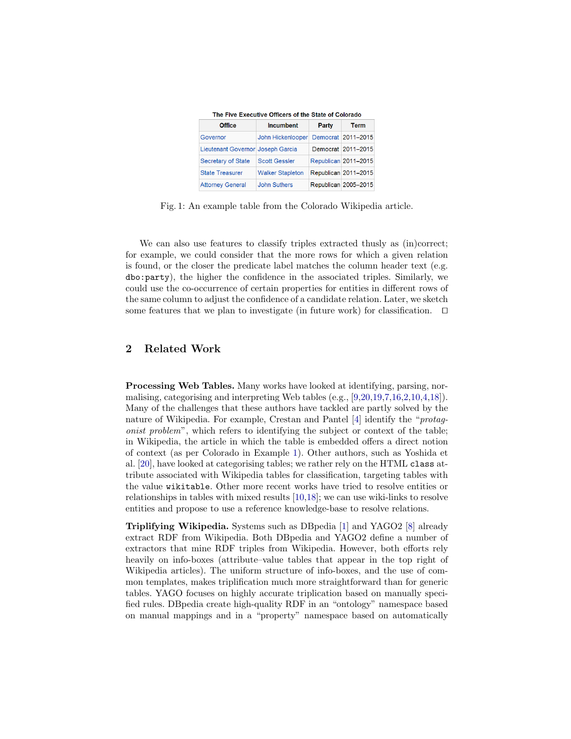<span id="page-2-1"></span>

| The Five Executive Officers of the State of Colorado |                         |       |                      |
|------------------------------------------------------|-------------------------|-------|----------------------|
| <b>Office</b>                                        | <b>Incumbent</b>        | Party | <b>Term</b>          |
| Governor                                             | John Hickenlooper       |       | Democrat 2011-2015   |
| Lieutenant Governor Joseph Garcia                    |                         |       | Democrat 2011-2015   |
| Secretary of State                                   | <b>Scott Gessler</b>    |       | Republican 2011-2015 |
| <b>State Treasurer</b>                               | <b>Walker Stapleton</b> |       | Republican 2011-2015 |
| <b>Attorney General</b>                              | <b>John Suthers</b>     |       | Republican 2005-2015 |

Fig. 1: An example table from the Colorado Wikipedia article.

We can also use features to classify triples extracted thus v as (in)correct; for example, we could consider that the more rows for which a given relation is found, or the closer the predicate label matches the column header text (e.g. dbo:party), the higher the confidence in the associated triples. Similarly, we could use the co-occurrence of certain properties for entities in different rows of the same column to adjust the confidence of a candidate relation. Later, we sketch some features that we plan to investigate (in future work) for classification.  $\Box$ 

## <span id="page-2-0"></span>2 Related Work

Processing Web Tables. Many works have looked at identifying, parsing, normalising, categorising and interpreting Web tables (e.g., [\[9,](#page-11-5)[20,](#page-11-6)[19,](#page-11-7)[7](#page-11-8)[,16,](#page-11-9)[2,](#page-11-1)[10,](#page-11-10)[4](#page-11-11)[,18\]](#page-11-2)). Many of the challenges that these authors have tackled are partly solved by the nature of Wikipedia. For example, Crestan and Pantel [\[4\]](#page-11-11) identify the "protagonist problem", which refers to identifying the subject or context of the table; in Wikipedia, the article in which the table is embedded offers a direct notion of context (as per Colorado in Example [1\)](#page-1-0). Other authors, such as Yoshida et al. [\[20\]](#page-11-6), have looked at categorising tables; we rather rely on the HTML class attribute associated with Wikipedia tables for classification, targeting tables with the value wikitable. Other more recent works have tried to resolve entities or relationships in tables with mixed results [\[10,](#page-11-10)[18\]](#page-11-2); we can use wiki-links to resolve entities and propose to use a reference knowledge-base to resolve relations.

Triplifying Wikipedia. Systems such as DBpedia [\[1\]](#page-11-3) and YAGO2 [\[8\]](#page-11-4) already extract RDF from Wikipedia. Both DBpedia and YAGO2 define a number of extractors that mine RDF triples from Wikipedia. However, both efforts rely heavily on info-boxes (attribute–value tables that appear in the top right of Wikipedia articles). The uniform structure of info-boxes, and the use of common templates, makes triplification much more straightforward than for generic tables. YAGO focuses on highly accurate triplication based on manually specified rules. DBpedia create high-quality RDF in an "ontology" namespace based on manual mappings and in a "property" namespace based on automatically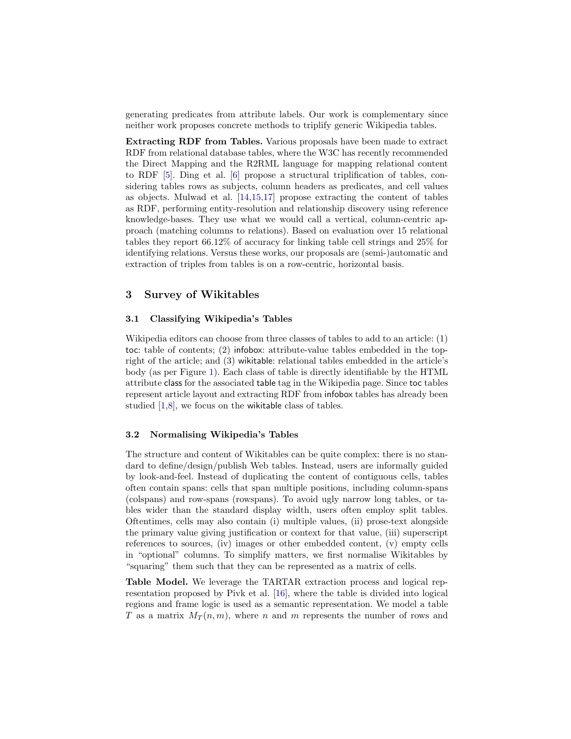generating predicates from attribute labels. Our work is complementary since neither work proposes concrete methods to triplify generic Wikipedia tables.

Extracting RDF from Tables. Various proposals have been made to extract RDF from relational database tables, where the W3C has recently recommended the Direct Mapping and the R2RML language for mapping relational content to RDF [\[5\]](#page-11-15). Ding et al. [\[6\]](#page-11-16) propose a structural triplification of tables, considering tables rows as subjects, column headers as predicates, and cell values as objects. Mulwad et al. [\[14,](#page-11-17)[15,](#page-11-18)[17\]](#page-11-13) propose extracting the content of tables as RDF, performing entity-resolution and relationship discovery using reference knowledge-bases. They use what we would call a vertical, column-centric approach (matching columns to relations). Based on evaluation over 15 relational tables they report 66.12% of accuracy for linking table cell strings and 25% for identifying relations. Versus these works, our proposals are (semi-)automatic and extraction of triples from tables is on a row-centric, horizontal basis.

## <span id="page-3-0"></span>3 Survey of Wikitables

#### 3.1 Classifying Wikipedia's Tables

Wikipedia editors can choose from three classes of tables to add to an article: (1) toc: table of contents; (2) infobox: attribute-value tables embedded in the topright of the article; and (3) wikitable: relational tables embedded in the article's body (as per Figure [1\)](#page-2-1). Each class of table is directly identifiable by the HTML attribute class for the associated table tag in the Wikipedia page. Since toc tables represent article layout and extracting RDF from infobox tables has already been studied [\[1](#page-11-3)[,8\]](#page-11-4), we focus on the wikitable class of tables.

#### 3.2 Normalising Wikipedia's Tables

The structure and content of Wikitables can be quite complex: there is no standard to define/design/publish Web tables. Instead, users are informally guided by look-and-feel. Instead of duplicating the content of contiguous cells, tables often contain spans: cells that span multiple positions, including column-spans (colspans) and row-spans (rowspans). To avoid ugly narrow long tables, or tables wider than the standard display width, users often employ split tables. Oftentimes, cells may also contain (i) multiple values, (ii) prose-text alongside the primary value giving justification or context for that value, (iii) superscript references to sources, (iv) images or other embedded content, (v) empty cells in "optional" columns. To simplify matters, we first normalise Wikitables by "squaring" them such that they can be represented as a matrix of cells.

Table Model. We leverage the TARTAR extraction process and logical representation proposed by Pivk et al. [\[16\]](#page-11-9), where the table is divided into logical regions and frame logic is used as a semantic representation. We model a table T as a matrix  $M_T(n,m)$ , where n and m represents the number of rows and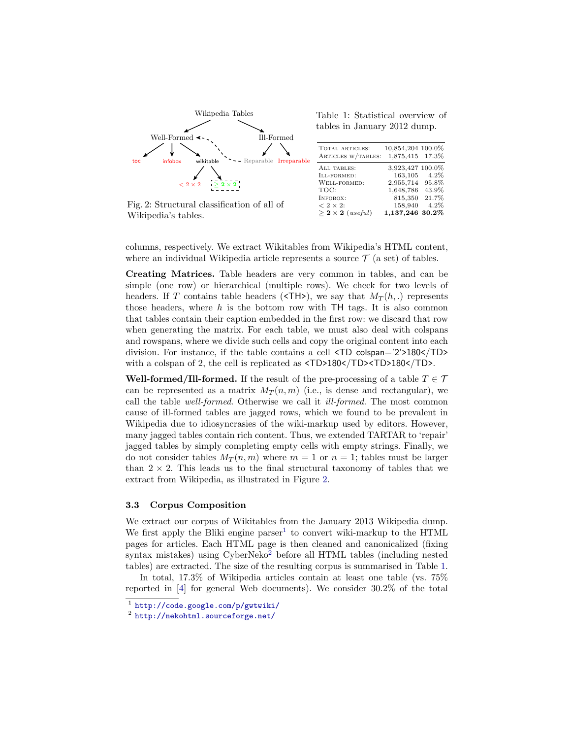<span id="page-4-0"></span>

Fig. 2: Structural classification of all of Wikipedia's tables.

|  | Table 1: Statistical overview of |  |
|--|----------------------------------|--|
|  | tables in January 2012 dump.     |  |

| <b>TOTAL ARTICLES:</b><br>ARTICLES W/TABLES:                                       | 10,854,204 100.0%<br>1,875,415 17.3%                                        |                                               |
|------------------------------------------------------------------------------------|-----------------------------------------------------------------------------|-----------------------------------------------|
| ALL TABLES:<br>ILL-FORMED:<br>WELL-FORMED:<br>TOC:<br>INFOBOX:<br>$< 2 \times 2$ : | 3,923,427 100.0%<br>163,105<br>2,955,714<br>1,648,786<br>815,350<br>158,940 | $4.2\%$<br>95.8%<br>43.9%<br>21.7%<br>$4.2\%$ |
| $>$ 2 $\times$ 2 ( <i>useful</i> )                                                 | 1,137,246 30.2%                                                             |                                               |

columns, respectively. We extract Wikitables from Wikipedia's HTML content, where an individual Wikipedia article represents a source  $\mathcal{T}$  (a set) of tables.

Creating Matrices. Table headers are very common in tables, and can be simple (one row) or hierarchical (multiple rows). We check for two levels of headers. If T contains table headers ( $\langle TH \rangle$ ), we say that  $M_T(h,.)$  represents those headers, where  $h$  is the bottom row with TH tags. It is also common that tables contain their caption embedded in the first row: we discard that row when generating the matrix. For each table, we must also deal with colspans and rowspans, where we divide such cells and copy the original content into each division. For instance, if the table contains a cell <TD colspan='2'>180</TD> with a colspan of 2, the cell is replicated as  $\langle TD>180 \times /TD>180 \times /TD>$ .

Well-formed/Ill-formed. If the result of the pre-processing of a table  $T \in \mathcal{T}$ can be represented as a matrix  $M_T(n,m)$  (i.e., is dense and rectangular), we call the table well-formed. Otherwise we call it ill-formed. The most common cause of ill-formed tables are jagged rows, which we found to be prevalent in Wikipedia due to idiosyncrasies of the wiki-markup used by editors. However, many jagged tables contain rich content. Thus, we extended TARTAR to 'repair' jagged tables by simply completing empty cells with empty strings. Finally, we do not consider tables  $M_T(n,m)$  where  $m = 1$  or  $n = 1$ ; tables must be larger than  $2 \times 2$ . This leads us to the final structural taxonomy of tables that we extract from Wikipedia, as illustrated in Figure [2.](#page-4-0)

#### 3.3 Corpus Composition

We extract our corpus of Wikitables from the January 2013 Wikipedia dump. We first apply the Bliki engine  $\text{parser}^1$  $\text{parser}^1$  to convert wiki-markup to the HTML pages for articles. Each HTML page is then cleaned and canonicalized (fixing syntax mistakes) using  $CyberNeko<sup>2</sup>$  $CyberNeko<sup>2</sup>$  $CyberNeko<sup>2</sup>$  before all HTML tables (including nested tables) are extracted. The size of the resulting corpus is summarised in Table [1.](#page-4-0)

In total, 17.3% of Wikipedia articles contain at least one table (vs. 75% reported in [\[4\]](#page-11-11) for general Web documents). We consider 30.2% of the total

<span id="page-4-1"></span><sup>1</sup> <http://code.google.com/p/gwtwiki/>

<span id="page-4-2"></span><sup>2</sup> <http://nekohtml.sourceforge.net/>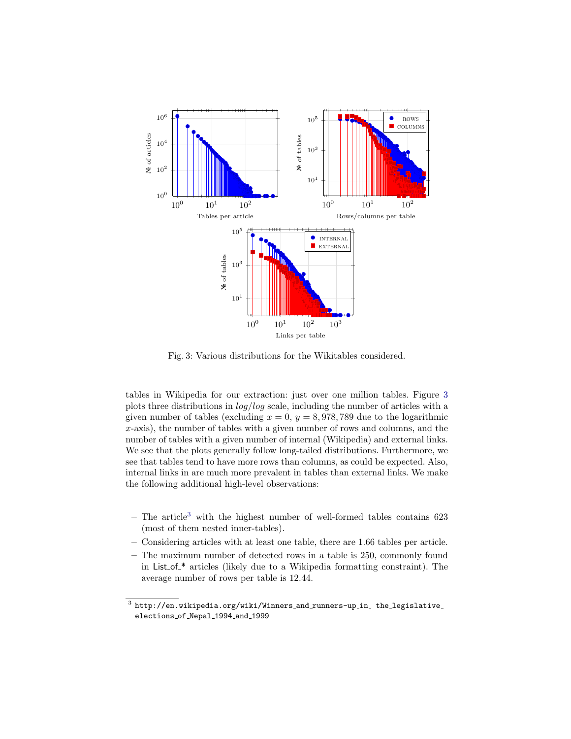<span id="page-5-0"></span>

Fig. 3: Various distributions for the Wikitables considered.

tables in Wikipedia for our extraction: just over one million tables. Figure [3](#page-5-0) plots three distributions in log/log scale, including the number of articles with a given number of tables (excluding  $x = 0$ ,  $y = 8,978,789$  due to the logarithmic  $x$ -axis), the number of tables with a given number of rows and columns, and the number of tables with a given number of internal (Wikipedia) and external links. We see that the plots generally follow long-tailed distributions. Furthermore, we see that tables tend to have more rows than columns, as could be expected. Also, internal links in are much more prevalent in tables than external links. We make the following additional high-level observations:

- $-$  The article<sup>[3](#page-5-1)</sup> with the highest number of well-formed tables contains 623 (most of them nested inner-tables).
- Considering articles with at least one table, there are 1.66 tables per article.
- The maximum number of detected rows in a table is 250, commonly found in List of \* articles (likely due to a Wikipedia formatting constraint). The average number of rows per table is 12.44.

<span id="page-5-1"></span> $^3$  http://en.wikipedia.org/wiki/Winners\_and\_runners-up\_in\_ the\_legislative elections of Nepal 1994 and 1999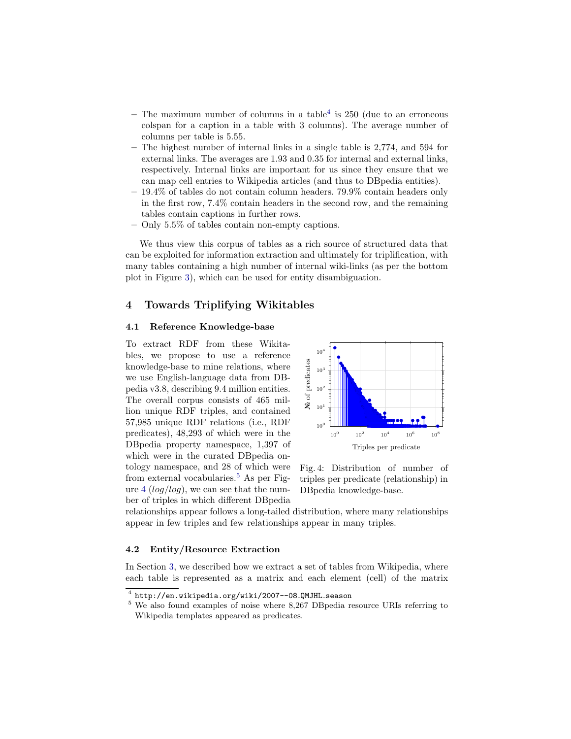- $-$  The maximum number of columns in a table<sup>[4](#page-6-1)</sup> is 250 (due to an erroneous colspan for a caption in a table with 3 columns). The average number of columns per table is 5.55.
- The highest number of internal links in a single table is 2,774, and 594 for external links. The averages are 1.93 and 0.35 for internal and external links, respectively. Internal links are important for us since they ensure that we can map cell entries to Wikipedia articles (and thus to DBpedia entities).
- $-19.4\%$  of tables do not contain column headers. 79.9% contain headers only in the first row, 7.4% contain headers in the second row, and the remaining tables contain captions in further rows.
- Only 5.5% of tables contain non-empty captions.

We thus view this corpus of tables as a rich source of structured data that can be exploited for information extraction and ultimately for triplification, with many tables containing a high number of internal wiki-links (as per the bottom plot in Figure [3\)](#page-5-0), which can be used for entity disambiguation.

## <span id="page-6-0"></span>4 Towards Triplifying Wikitables

#### 4.1 Reference Knowledge-base

To extract RDF from these Wikitables, we propose to use a reference knowledge-base to mine relations, where we use English-language data from DBpedia v3.8, describing 9.4 million entities. The overall corpus consists of 465 million unique RDF triples, and contained 57,985 unique RDF relations (i.e., RDF predicates), 48,293 of which were in the DBpedia property namespace, 1,397 of which were in the curated DBpedia ontology namespace, and 28 of which were from external vocabularies.<sup>[5](#page-6-2)</sup> As per Figure  $4 (log/log)$  $4 (log/log)$ , we can see that the number of triples in which different DBpedia

<span id="page-6-3"></span>

Fig. 4: Distribution of number of triples per predicate (relationship) in DBpedia knowledge-base.

relationships appear follows a long-tailed distribution, where many relationships appear in few triples and few relationships appear in many triples.

## 4.2 Entity/Resource Extraction

In Section [3,](#page-3-0) we described how we extract a set of tables from Wikipedia, where each table is represented as a matrix and each element (cell) of the matrix

<span id="page-6-1"></span> $^4$  http://en.wikipedia.org/wiki/2007--08\_QMJHL\_season

<span id="page-6-2"></span><sup>5</sup> We also found examples of noise where 8,267 DBpedia resource URIs referring to Wikipedia templates appeared as predicates.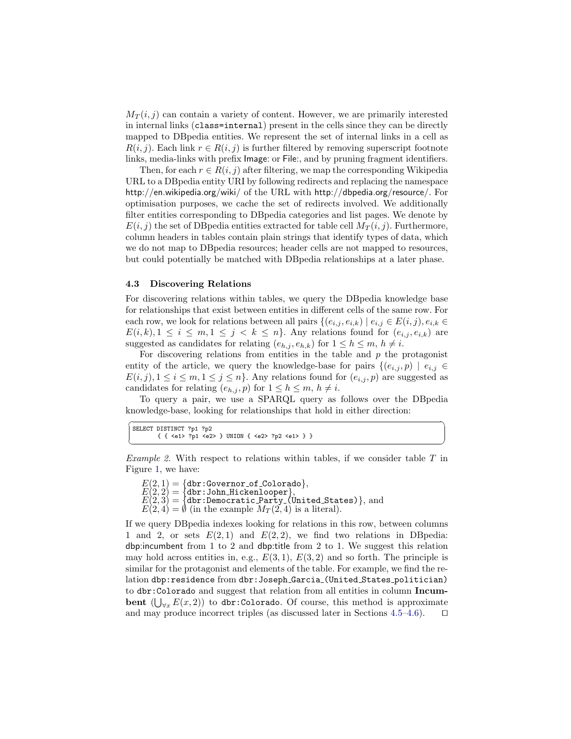$M_T(i, j)$  can contain a variety of content. However, we are primarily interested in internal links (class=internal) present in the cells since they can be directly mapped to DBpedia entities. We represent the set of internal links in a cell as  $R(i, j)$ . Each link  $r \in R(i, j)$  is further filtered by removing superscript footnote links, media-links with prefix Image: or File:, and by pruning fragment identifiers.

Then, for each  $r \in R(i, j)$  after filtering, we map the corresponding Wikipedia URL to a DBpedia entity URI by following redirects and replacing the namespace http://en.wikipedia.org/wiki/ of the URL with http://dbpedia.org/resource/. For optimisation purposes, we cache the set of redirects involved. We additionally filter entities corresponding to DBpedia categories and list pages. We denote by  $E(i, j)$  the set of DB pedia entities extracted for table cell  $M_T(i, j)$ . Furthermore, column headers in tables contain plain strings that identify types of data, which we do not map to DBpedia resources; header cells are not mapped to resources, but could potentially be matched with DBpedia relationships at a later phase.

#### 4.3 Discovering Relations

For discovering relations within tables, we query the DBpedia knowledge base for relationships that exist between entities in different cells of the same row. For each row, we look for relations between all pairs  $\{(e_{i,j}, e_{i,k}) | e_{i,j} \in E(i,j), e_{i,k} \in$  $E(i, k), 1 \leq i \leq m, 1 \leq j \leq k \leq n$ . Any relations found for  $(e_{i,j}, e_{i,k})$  are suggested as candidates for relating  $(e_{h,j}, e_{h,k})$  for  $1 \leq h \leq m, h \neq i$ .

For discovering relations from entities in the table and  $p$  the protagonist entity of the article, we query the knowledge-base for pairs  $\{(e_{i,j}, p) \mid e_{i,j} \in$  $E(i, j), 1 \leq i \leq m, 1 \leq j \leq n$ . Any relations found for  $(e_{i,j}, p)$  are suggested as candidates for relating  $(e_{h,j}, p)$  for  $1 \leq h \leq m, h \neq i$ .

To query a pair, we use a SPARQL query as follows over the DBpedia knowledge-base, looking for relationships that hold in either direction:

| SELECT DISTINCT ?p1 ?p2                                           |  |
|-------------------------------------------------------------------|--|
| { { <e1> ?p1 <e2> } UNION { <e2> ?p2 <e1> } }</e1></e2></e2></e1> |  |
|                                                                   |  |

<span id="page-7-0"></span>*Example 2.* With respect to relations within tables, if we consider table  $T$  in Figure [1,](#page-2-1) we have:

 $E(2, 1) = \{ \text{dbr:Government_of\_Colorado} \},$  $E(2,2)=\{{\tt dbr:John-Hickenlooper}\},$  $E(2,3) = \{\texttt{dbr:Democratic Party_(United States)}\},$  and  $E(2, 4) = \emptyset$  (in the example  $M_T(2, 4)$  is a literal).

If we query DBpedia indexes looking for relations in this row, between columns 1 and 2, or sets  $E(2,1)$  and  $E(2,2)$ , we find two relations in DB pedia: dbp:incumbent from 1 to 2 and dbp: title from 2 to 1. We suggest this relation may hold across entities in, e.g.,  $E(3,1)$ ,  $E(3,2)$  and so forth. The principle is similar for the protagonist and elements of the table. For example, we find the relation dbp:residence from dbr:Joseph Garcia (United States politician) to dbr:Colorado and suggest that relation from all entities in column Incumbent  $(\bigcup_{\forall x} E(x, 2))$  to dbr:Colorado. Of course, this method is approximate and may produce incorrect triples (as discussed later in Sections [4.5–](#page-8-0)[4.6\)](#page-9-0).  $\Box$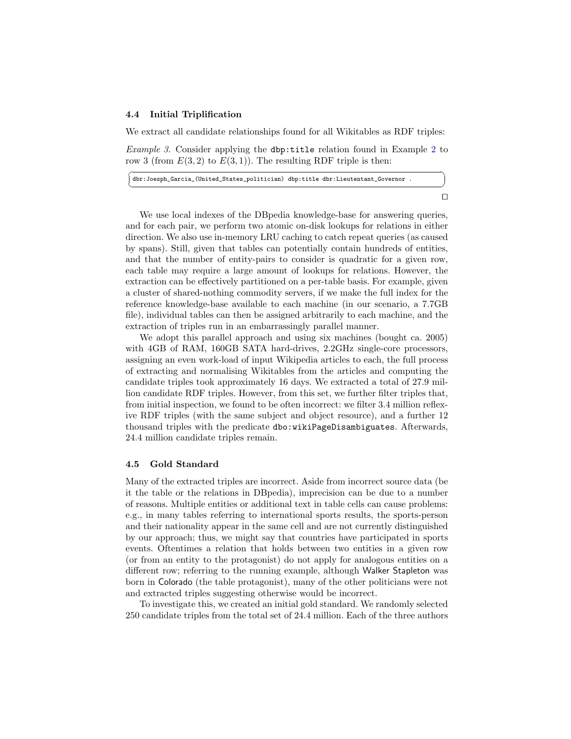#### 4.4 Initial Triplification

We extract all candidate relationships found for all Wikitables as RDF triples:

Example 3. Consider applying the dbp:title relation found in Example [2](#page-7-0) to row 3 (from  $E(3, 2)$  to  $E(3, 1)$ ). The resulting RDF triple is then:

| dbr:Joesph_Garcia_(United_States_politician) dbp:title dbr:Lieutentant_Governor . |  |
|-----------------------------------------------------------------------------------|--|
|                                                                                   |  |

 $\Box$ 

We use local indexes of the DBpedia knowledge-base for answering queries, and for each pair, we perform two atomic on-disk lookups for relations in either direction. We also use in-memory LRU caching to catch repeat queries (as caused by spans). Still, given that tables can potentially contain hundreds of entities, and that the number of entity-pairs to consider is quadratic for a given row, each table may require a large amount of lookups for relations. However, the extraction can be effectively partitioned on a per-table basis. For example, given a cluster of shared-nothing commodity servers, if we make the full index for the reference knowledge-base available to each machine (in our scenario, a 7.7GB file), individual tables can then be assigned arbitrarily to each machine, and the extraction of triples run in an embarrassingly parallel manner.

We adopt this parallel approach and using six machines (bought ca. 2005) with 4GB of RAM, 160GB SATA hard-drives, 2.2GHz single-core processors, assigning an even work-load of input Wikipedia articles to each, the full process of extracting and normalising Wikitables from the articles and computing the candidate triples took approximately 16 days. We extracted a total of 27.9 million candidate RDF triples. However, from this set, we further filter triples that, from initial inspection, we found to be often incorrect: we filter 3.4 million reflexive RDF triples (with the same subject and object resource), and a further 12 thousand triples with the predicate dbo:wikiPageDisambiguates. Afterwards, 24.4 million candidate triples remain.

#### <span id="page-8-0"></span>4.5 Gold Standard

Many of the extracted triples are incorrect. Aside from incorrect source data (be it the table or the relations in DBpedia), imprecision can be due to a number of reasons. Multiple entities or additional text in table cells can cause problems: e.g., in many tables referring to international sports results, the sports-person and their nationality appear in the same cell and are not currently distinguished by our approach; thus, we might say that countries have participated in sports events. Oftentimes a relation that holds between two entities in a given row (or from an entity to the protagonist) do not apply for analogous entities on a different row; referring to the running example, although Walker Stapleton was born in Colorado (the table protagonist), many of the other politicians were not and extracted triples suggesting otherwise would be incorrect.

To investigate this, we created an initial gold standard. We randomly selected 250 candidate triples from the total set of 24.4 million. Each of the three authors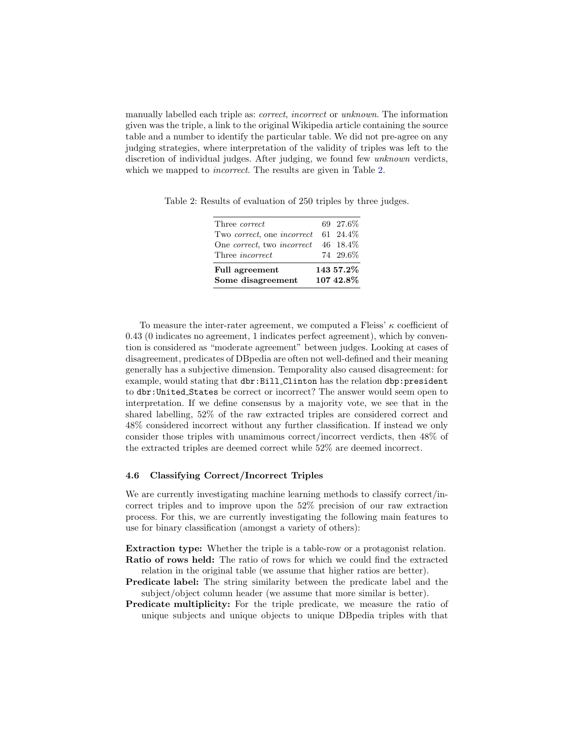manually labelled each triple as: *correct*, *incorrect* or *unknown*. The information given was the triple, a link to the original Wikipedia article containing the source table and a number to identify the particular table. We did not pre-agree on any judging strategies, where interpretation of the validity of triples was left to the discretion of individual judges. After judging, we found few *unknown* verdicts, which we mapped to *incorrect*. The results are given in Table [2.](#page-9-1)

| Full agreement<br>Some disagreement     | 143 57.2%<br>107 42.8% |
|-----------------------------------------|------------------------|
| Three <i>incorrect</i>                  | 74 29.6%               |
| One correct, two incorrect 46 18.4%     |                        |
| Two correct, one incorrect $61, 24.4\%$ |                        |
| Three <i>correct</i>                    | 69 27.6%               |
|                                         |                        |

<span id="page-9-1"></span>Table 2: Results of evaluation of 250 triples by three judges.

To measure the inter-rater agreement, we computed a Fleiss'  $\kappa$  coefficient of 0.43 (0 indicates no agreement, 1 indicates perfect agreement), which by convention is considered as "moderate agreement" between judges. Looking at cases of disagreement, predicates of DBpedia are often not well-defined and their meaning generally has a subjective dimension. Temporality also caused disagreement: for example, would stating that dbr:Bill\_Clinton has the relation dbp:president to dbr:United States be correct or incorrect? The answer would seem open to interpretation. If we define consensus by a majority vote, we see that in the shared labelling, 52% of the raw extracted triples are considered correct and 48% considered incorrect without any further classification. If instead we only consider those triples with unamimous correct/incorrect verdicts, then 48% of the extracted triples are deemed correct while 52% are deemed incorrect.

#### <span id="page-9-0"></span>4.6 Classifying Correct/Incorrect Triples

We are currently investigating machine learning methods to classify correct/incorrect triples and to improve upon the 52% precision of our raw extraction process. For this, we are currently investigating the following main features to use for binary classification (amongst a variety of others):

Extraction type: Whether the triple is a table-row or a protagonist relation. Ratio of rows held: The ratio of rows for which we could find the extracted relation in the original table (we assume that higher ratios are better).

- Predicate label: The string similarity between the predicate label and the subject/object column header (we assume that more similar is better).
- Predicate multiplicity: For the triple predicate, we measure the ratio of unique subjects and unique objects to unique DBpedia triples with that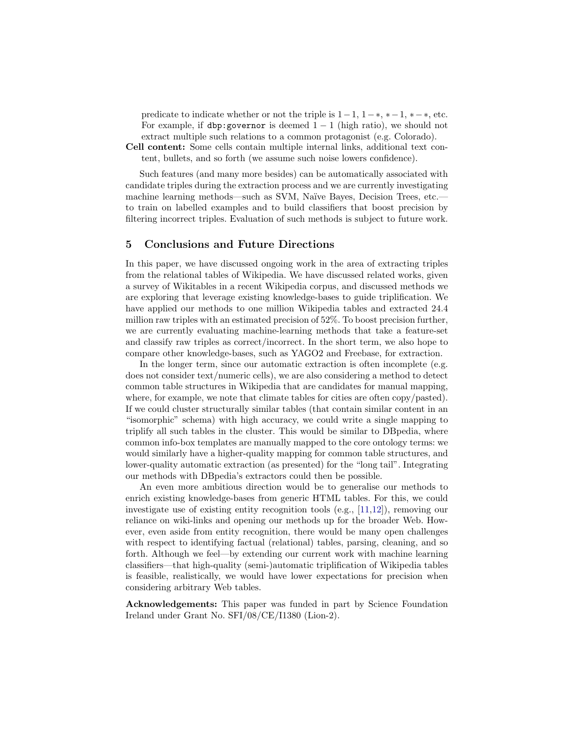predicate to indicate whether or not the triple is  $1-1, 1-*, *-1, *-*$ , etc. For example, if dbp:governor is deemed  $1 - 1$  (high ratio), we should not extract multiple such relations to a common protagonist (e.g. Colorado).

Cell content: Some cells contain multiple internal links, additional text content, bullets, and so forth (we assume such noise lowers confidence).

Such features (and many more besides) can be automatically associated with candidate triples during the extraction process and we are currently investigating machine learning methods—such as SVM, Naïve Bayes, Decision Trees, etc. to train on labelled examples and to build classifiers that boost precision by filtering incorrect triples. Evaluation of such methods is subject to future work.

## <span id="page-10-0"></span>5 Conclusions and Future Directions

In this paper, we have discussed ongoing work in the area of extracting triples from the relational tables of Wikipedia. We have discussed related works, given a survey of Wikitables in a recent Wikipedia corpus, and discussed methods we are exploring that leverage existing knowledge-bases to guide triplification. We have applied our methods to one million Wikipedia tables and extracted 24.4 million raw triples with an estimated precision of 52%. To boost precision further, we are currently evaluating machine-learning methods that take a feature-set and classify raw triples as correct/incorrect. In the short term, we also hope to compare other knowledge-bases, such as YAGO2 and Freebase, for extraction.

In the longer term, since our automatic extraction is often incomplete (e.g. does not consider text/numeric cells), we are also considering a method to detect common table structures in Wikipedia that are candidates for manual mapping, where, for example, we note that climate tables for cities are often copy/pasted). If we could cluster structurally similar tables (that contain similar content in an "isomorphic" schema) with high accuracy, we could write a single mapping to triplify all such tables in the cluster. This would be similar to DBpedia, where common info-box templates are manually mapped to the core ontology terms: we would similarly have a higher-quality mapping for common table structures, and lower-quality automatic extraction (as presented) for the "long tail". Integrating our methods with DBpedia's extractors could then be possible.

An even more ambitious direction would be to generalise our methods to enrich existing knowledge-bases from generic HTML tables. For this, we could investigate use of existing entity recognition tools (e.g., [\[11,](#page-11-19)[12\]](#page-11-14)), removing our reliance on wiki-links and opening our methods up for the broader Web. However, even aside from entity recognition, there would be many open challenges with respect to identifying factual (relational) tables, parsing, cleaning, and so forth. Although we feel—by extending our current work with machine learning classifiers—that high-quality (semi-)automatic triplification of Wikipedia tables is feasible, realistically, we would have lower expectations for precision when considering arbitrary Web tables.

Acknowledgements: This paper was funded in part by Science Foundation Ireland under Grant No. SFI/08/CE/I1380 (Lion-2).